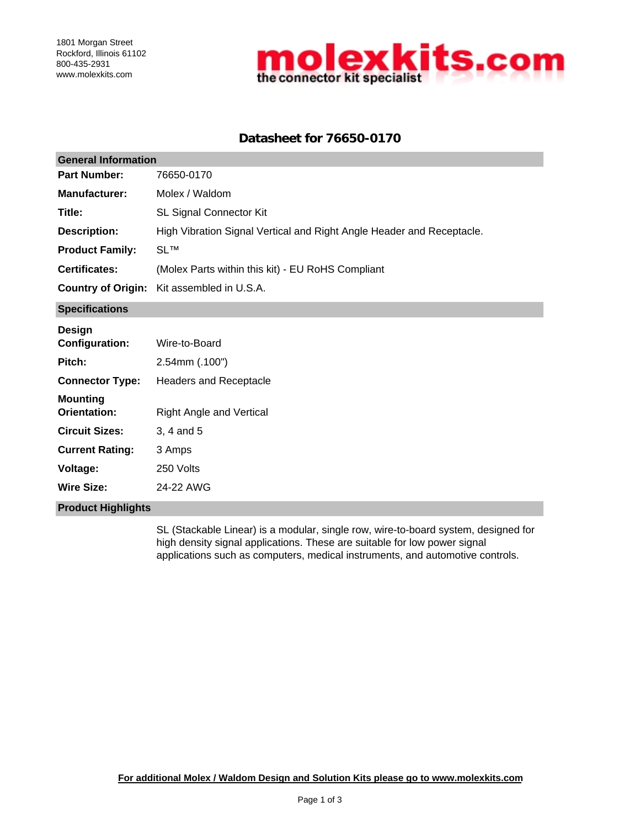

# **Datasheet for 76650-0170**

| <b>General Information</b>             |                                                                       |  |  |  |
|----------------------------------------|-----------------------------------------------------------------------|--|--|--|
| <b>Part Number:</b>                    | 76650-0170                                                            |  |  |  |
| <b>Manufacturer:</b>                   | Molex / Waldom                                                        |  |  |  |
| Title:                                 | SL Signal Connector Kit                                               |  |  |  |
| <b>Description:</b>                    | High Vibration Signal Vertical and Right Angle Header and Receptacle. |  |  |  |
| <b>Product Family:</b>                 | <b>SL™</b>                                                            |  |  |  |
| <b>Certificates:</b>                   | (Molex Parts within this kit) - EU RoHS Compliant                     |  |  |  |
| <b>Country of Origin:</b>              | Kit assembled in U.S.A.                                               |  |  |  |
| <b>Specifications</b>                  |                                                                       |  |  |  |
| <b>Design</b><br><b>Configuration:</b> | Wire-to-Board                                                         |  |  |  |
| Pitch:                                 | 2.54mm (.100")                                                        |  |  |  |
| <b>Connector Type:</b>                 | Headers and Receptacle                                                |  |  |  |
| <b>Mounting</b><br>Orientation:        | <b>Right Angle and Vertical</b>                                       |  |  |  |
| <b>Circuit Sizes:</b>                  | 3, 4 and 5                                                            |  |  |  |
| <b>Current Rating:</b>                 | 3 Amps                                                                |  |  |  |
| <b>Voltage:</b>                        | 250 Volts                                                             |  |  |  |
| <b>Wire Size:</b>                      | 24-22 AWG                                                             |  |  |  |
| <b>Product Highlights</b>              |                                                                       |  |  |  |

SL (Stackable Linear) is a modular, single row, wire-to-board system, designed for high density signal applications. These are suitable for low power signal applications such as computers, medical instruments, and automotive controls.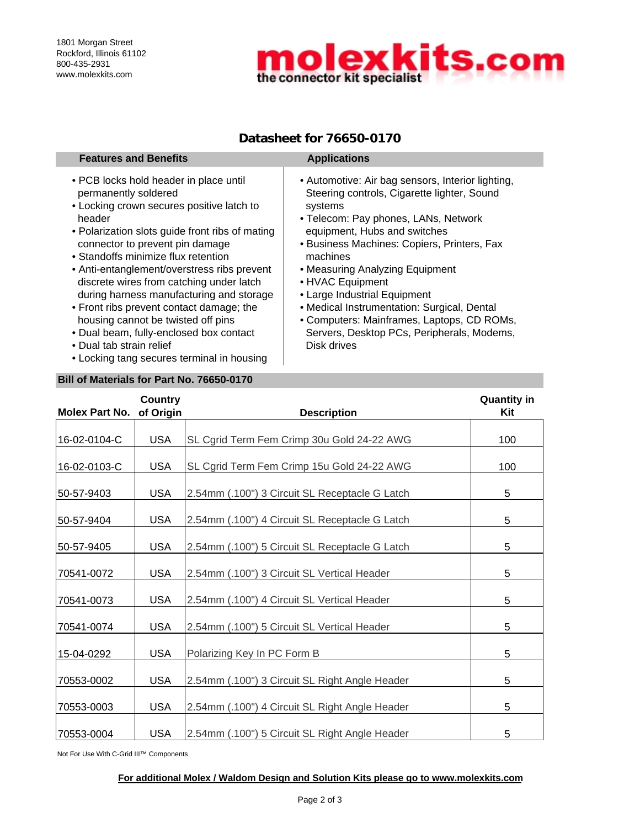

# **Datasheet for 76650-0170**

| <b>Features and Benefits</b>                                                                                                                                                                                                                                                                                                                                                                                                                                                                                                                                                                     | <b>Applications</b>                                                                                                                                                                                                                                                                                                                                                                                                                                                                             |
|--------------------------------------------------------------------------------------------------------------------------------------------------------------------------------------------------------------------------------------------------------------------------------------------------------------------------------------------------------------------------------------------------------------------------------------------------------------------------------------------------------------------------------------------------------------------------------------------------|-------------------------------------------------------------------------------------------------------------------------------------------------------------------------------------------------------------------------------------------------------------------------------------------------------------------------------------------------------------------------------------------------------------------------------------------------------------------------------------------------|
| • PCB locks hold header in place until<br>permanently soldered<br>• Locking crown secures positive latch to<br>header<br>• Polarization slots guide front ribs of mating<br>connector to prevent pin damage<br>• Standoffs minimize flux retention<br>• Anti-entanglement/overstress ribs prevent<br>discrete wires from catching under latch<br>during harness manufacturing and storage<br>• Front ribs prevent contact damage; the<br>housing cannot be twisted off pins<br>• Dual beam, fully-enclosed box contact<br>• Dual tab strain relief<br>• Locking tang secures terminal in housing | • Automotive: Air bag sensors, Interior lighting,<br>Steering controls, Cigarette lighter, Sound<br>systems<br>• Telecom: Pay phones, LANs, Network<br>equipment, Hubs and switches<br>• Business Machines: Copiers, Printers, Fax<br>machines<br>• Measuring Analyzing Equipment<br>• HVAC Equipment<br>• Large Industrial Equipment<br>• Medical Instrumentation: Surgical, Dental<br>• Computers: Mainframes, Laptops, CD ROMs,<br>Servers, Desktop PCs, Peripherals, Modems,<br>Disk drives |

### **Bill of Materials for Part No. 76650-0170**

| <b>Molex Part No.</b> | <b>Country</b><br>of Origin | <b>Description</b>                             | <b>Quantity in</b><br>Kit |
|-----------------------|-----------------------------|------------------------------------------------|---------------------------|
|                       |                             |                                                |                           |
| 16-02-0104-C          | <b>USA</b>                  | SL Cgrid Term Fem Crimp 30u Gold 24-22 AWG     | 100                       |
| 16-02-0103-C          | <b>USA</b>                  | SL Cgrid Term Fem Crimp 15u Gold 24-22 AWG     | 100                       |
| 50-57-9403            | <b>USA</b>                  | 2.54mm (.100") 3 Circuit SL Receptacle G Latch | 5                         |
| 50-57-9404            | <b>USA</b>                  | 2.54mm (.100") 4 Circuit SL Receptacle G Latch | 5                         |
| 50-57-9405            | <b>USA</b>                  | 2.54mm (.100") 5 Circuit SL Receptacle G Latch | 5                         |
| 70541-0072            | <b>USA</b>                  | 2.54mm (.100") 3 Circuit SL Vertical Header    | 5                         |
| 70541-0073            | <b>USA</b>                  | 2.54mm (.100") 4 Circuit SL Vertical Header    | 5                         |
| 70541-0074            | <b>USA</b>                  | 2.54mm (.100") 5 Circuit SL Vertical Header    | 5                         |
| 15-04-0292            | <b>USA</b>                  | Polarizing Key In PC Form B                    | 5                         |
| 70553-0002            | <b>USA</b>                  | 2.54mm (.100") 3 Circuit SL Right Angle Header | 5                         |
| 70553-0003            | <b>USA</b>                  | 2.54mm (.100") 4 Circuit SL Right Angle Header | 5                         |
| 70553-0004            | <b>USA</b>                  | 2.54mm (.100") 5 Circuit SL Right Angle Header | 5                         |

Not For Use With C-Grid III™ Components

#### **For additional Molex / Waldom Design and Solution Kits please go to www.molexkits.com**